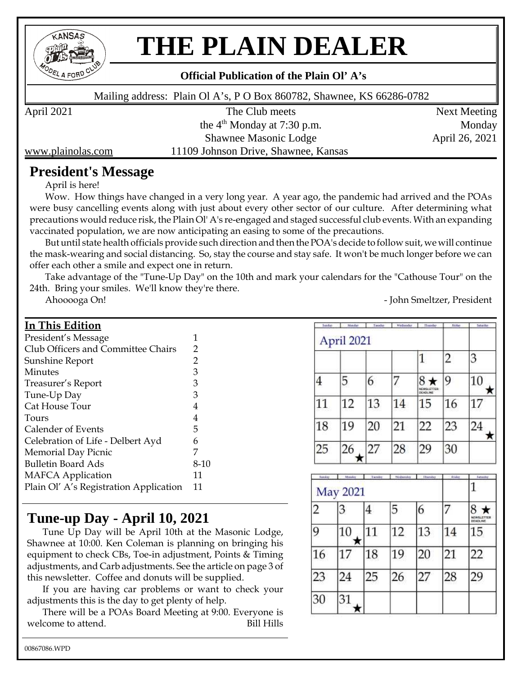

# **THE PLAIN DEALER**

#### **Official Publication of the Plain Ol' A's**

Mailing address: Plain Ol A's, P O Box 860782, Shawnee, KS 66286-0782

April 2021 The Club meets Next Meeting the  $4<sup>th</sup>$  Monday at 7:30 p.m. Monday Shawnee Masonic Lodge April 26, 2021

www.plainolas.com 11109 Johnson Drive, Shawnee, Kansas

#### **President's Message**

April is here!

Wow. How things have changed in a very long year. A year ago, the pandemic had arrived and the POAs were busy cancelling events along with just about every other sector of our culture. After determining what precautions would reduce risk, the Plain Ol' A's re-engaged and staged successful club events. With an expanding vaccinated population, we are now anticipating an easing to some of the precautions.

But until state health officials provide such direction and then the POA's decide to follow suit, we will continue the mask-wearing and social distancing. So, stay the course and stay safe. It won't be much longer before we can offer each other a smile and expect one in return.

Take advantage of the "Tune-Up Day" on the 10th and mark your calendars for the "Cathouse Tour" on the 24th. Bring your smiles. We'll know they're there.

Ahooooga On! - John Smeltzer, President

#### **In This Edition**

| President's Message                    | 1      |
|----------------------------------------|--------|
| Club Officers and Committee Chairs     | 2      |
| Sunshine Report                        | 2      |
| Minutes                                | 3      |
| Treasurer's Report                     | 3      |
| Tune-Up Day                            | 3      |
| Cat House Tour                         | 4      |
| Tours                                  | 4      |
| Calender of Events                     | 5      |
| Celebration of Life - Delbert Ayd      | 6      |
| <b>Memorial Day Picnic</b>             | 7      |
| <b>Bulletin Board Ads</b>              | $8-10$ |
| <b>MAFCA</b> Application               | 11     |
| Plain Ol' A's Registration Application | 11     |

#### **Tune-up Day - April 10, 2021**

Tune Up Day will be April 10th at the Masonic Lodge, Shawnee at 10:00. Ken Coleman is planning on bringing his equipment to check CBs, Toe-in adjustment, Points & Timing adjustments, and Carb adjustments. See the article on page 3 of this newsletter. Coffee and donuts will be supplied.

If you are having car problems or want to check your adjustments this is the day to get plenty of help.

There will be a POAs Board Meeting at 9:00. Everyone is welcome to attend. The Bill Hills

| <b>Sustan</b> | <b>Manday</b> | Tacadas | Wednesday | <b>I.</b> Thunder             | Editor         | Scholder |
|---------------|---------------|---------|-----------|-------------------------------|----------------|----------|
|               | April 2021    |         |           |                               | $\overline{c}$ | 3        |
|               | 5             | 6       |           | <b>NEWSLETTER</b><br>DEADLINE | 9              | 10       |
| 11            | 12            | 13      | 14        | 15                            | 16             | 17       |
| 18            | 19            | 20      | 21        | 22                            | 23             | 24       |
| 25            | 26            | 27      | 28        | 29                            | 30             |          |

| handay.         | Mandas | Tuesday | Wednesday | Thunday | Friday | <b>Automator</b>       |
|-----------------|--------|---------|-----------|---------|--------|------------------------|
| <b>May 2021</b> |        |         |           |         |        |                        |
| 2               | 3      | 4       | 5         | 6       | 7      | 8<br><b>NEWSLETTER</b> |
| 9               | 10     | 11      | 12        | 13      | 14     | 15                     |
| 16              |        | 18      | 19        | 20      | 21     | 22                     |
| 23              | 24     | 25      | 26        | 27      | 28     | 29                     |
| 30              | 31     |         |           |         |        |                        |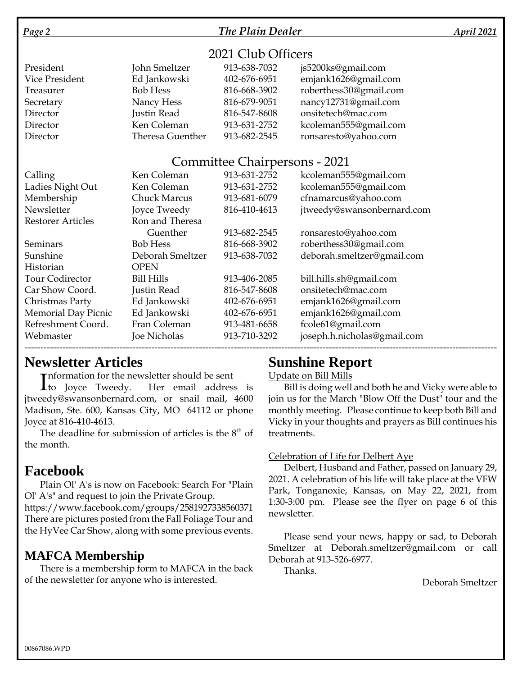#### *Page 2 The Plain Dealer April 2021*

#### 2021 Club Officers

| President      | John Smeltzer           | 913-638-7032 | js5200ks@gmail.com     |
|----------------|-------------------------|--------------|------------------------|
| Vice President | Ed Jankowski            | 402-676-6951 | emjank1626@gmail.com   |
| Treasurer      | <b>Bob Hess</b>         | 816-668-3902 | roberthess30@gmail.com |
| Secretary      | Nancy Hess              | 816-679-9051 | nancy12731@gmail.com   |
| Director       | Justin Read             | 816-547-8608 | onsitetech@mac.com     |
| Director       | Ken Coleman             | 913-631-2752 | kcoleman555@gmail.com  |
| Director       | <b>Theresa Guenther</b> | 913-682-2545 | ronsaresto@yahoo.com   |

#### Committee Chairpersons - 2021

| Calling                    | Ken Coleman         | 913-631-2752 | kcoleman555@gmail.com       |
|----------------------------|---------------------|--------------|-----------------------------|
| Ladies Night Out           | Ken Coleman         | 913-631-2752 | kcoleman555@gmail.com       |
| Membership                 | <b>Chuck Marcus</b> | 913-681-6079 | cfnamarcus@yahoo.com        |
| Newsletter                 | Joyce Tweedy        | 816-410-4613 | jtweedy@swansonbernard.com  |
| <b>Restorer Articles</b>   | Ron and Theresa     |              |                             |
|                            | Guenther            | 913-682-2545 | ronsaresto@yahoo.com        |
| Seminars                   | <b>Bob Hess</b>     | 816-668-3902 | roberthess30@gmail.com      |
| Sunshine                   | Deborah Smeltzer    | 913-638-7032 | deborah.smeltzer@gmail.com  |
| Historian                  | <b>OPEN</b>         |              |                             |
| <b>Tour Codirector</b>     | <b>Bill Hills</b>   | 913-406-2085 | bill.hills.sh@gmail.com     |
| Car Show Coord.            | Justin Read         | 816-547-8608 | onsitetech@mac.com          |
| Christmas Party            | Ed Jankowski        | 402-676-6951 | emjank1626@gmail.com        |
| <b>Memorial Day Picnic</b> | Ed Jankowski        | 402-676-6951 | emjank1626@gmail.com        |
| Refreshment Coord.         | Fran Coleman        | 913-481-6658 | fcole61@gmail.com           |
| Webmaster                  | Joe Nicholas        | 913-710-3292 | joseph.h.nicholas@gmail.com |
|                            |                     |              |                             |

#### **Newsletter Articles**

**Theormation for the newsletter should be sent** 

Information for the newsletter should be sent<br>
to Joyce Tweedy. Her email address is jtweedy@swansonbernard.com, or snail mail, 4600 Madison, Ste. 600, Kansas City, MO 64112 or phone Joyce at 816-410-4613.

The deadline for submission of articles is the  $8<sup>th</sup>$  of the month.

#### **Facebook**

Plain Ol' A's is now on Facebook: Search For "Plain Ol' A's" and request to join the Private Group.

https://www.facebook.com/groups/2581927338560371 There are pictures posted from the Fall Foliage Tour and the HyVee Car Show, along with some previous events.

#### **MAFCA Membership**

There is a membership form to MAFCA in the back of the newsletter for anyone who is interested.

### **Sunshine Report**

Update on Bill Mills

Bill is doing well and both he and Vicky were able to join us for the March "Blow Off the Dust" tour and the monthly meeting. Please continue to keep both Bill and Vicky in your thoughts and prayers as Bill continues his treatments.

#### Celebration of Life for Delbert Aye

Delbert, Husband and Father, passed on January 29, 2021. A celebration of his life will take place at the VFW Park, Tonganoxie, Kansas, on May 22, 2021, from 1:30-3:00 pm. Please see the flyer on page 6 of this newsletter.

Please send your news, happy or sad, to Deborah Smeltzer at Deborah.smeltzer@gmail.com or call Deborah at 913-526-6977.

Thanks.

Deborah Smeltzer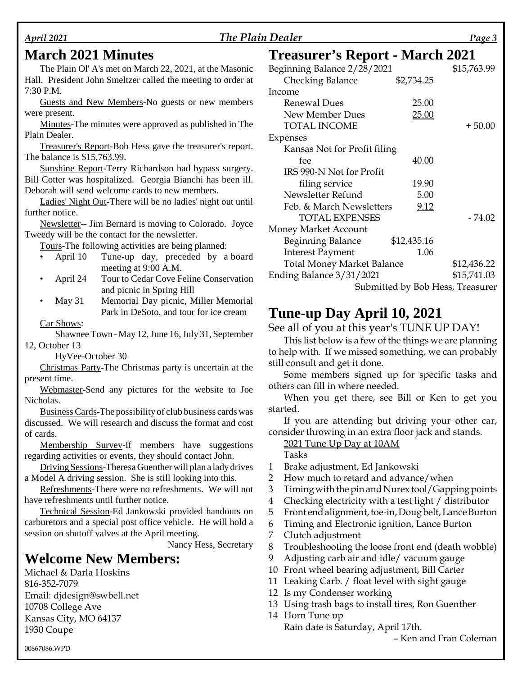#### *April 2021 The Plain Dealer Page 3*

#### **March 2021 Minutes**

The Plain Ol' A's met on March 22, 2021, at the Masonic Hall. President John Smeltzer called the meeting to order at 7:30 P.M.

Guests and New Members-No guests or new members were present.

Minutes-The minutes were approved as published in The Plain Dealer.

Treasurer's Report-Bob Hess gave the treasurer's report. The balance is \$15,763.99.

Sunshine Report-Terry Richardson had bypass surgery. Bill Cotter was hospitalized. Georgia Bianchi has been ill. Deborah will send welcome cards to new members.

Ladies' Night Out-There will be no ladies' night out until further notice.

Newsletter-- Jim Bernard is moving to Colorado. Joyce Tweedy will be the contact for the newsletter.

Tours-The following activities are being planned:

- April 10 Tune-up day, preceded by a board meeting at 9:00 A.M.
- April 24 Tour to Cedar Cove Feline Conservation and picnic in Spring Hill
- May 31 Memorial Day picnic, Miller Memorial Park in DeSoto, and tour for ice cream

Car Shows:

Shawnee Town - May 12, June 16, July 31, September 12, October 13

HyVee-October 30

Christmas Party-The Christmas party is uncertain at the present time.

Webmaster-Send any pictures for the website to Joe Nicholas.

Business Cards-The possibility of club business cards was discussed. We will research and discuss the format and cost of cards.

Membership Survey-If members have suggestions regarding activities or events, they should contact John.

Driving Sessions-Theresa Guenther will plan a lady drives a Model A driving session. She is still looking into this.

Refreshments-There were no refreshments. We will not have refreshments until further notice.

Technical Session-Ed Jankowski provided handouts on carburetors and a special post office vehicle. He will hold a session on shutoff valves at the April meeting.

Nancy Hess, Secretary

#### **Welcome New Members:**

Michael & Darla Hoskins 816-352-7079 Email: djdesign@swbell.net 10708 College Ave Kansas City, MO 64137 1930 Coupe

### **Treasurer's Report - March 2021**

| Beginning Balance 2/28/2021       |                                  | \$15,763.99 |
|-----------------------------------|----------------------------------|-------------|
| <b>Checking Balance</b>           | \$2,734.25                       |             |
| Income                            |                                  |             |
| Renewal Dues                      | 25.00                            |             |
| <b>New Member Dues</b>            | 25.00                            |             |
| <b>TOTAL INCOME</b>               |                                  | $+50.00$    |
| Expenses                          |                                  |             |
| Kansas Not for Profit filing      |                                  |             |
| fee                               | 40.00                            |             |
| IRS 990-N Not for Profit          |                                  |             |
| filing service                    | 19.90                            |             |
| Newsletter Refund                 | 5.00                             |             |
| Feb. & March Newsletters          | 9.12                             |             |
| <b>TOTAL EXPENSES</b>             |                                  | $-74.02$    |
| Money Market Account              |                                  |             |
| <b>Beginning Balance</b>          | \$12,435.16                      |             |
| <b>Interest Payment</b>           | 1.06                             |             |
| <b>Total Money Market Balance</b> |                                  | \$12,436.22 |
| Ending Balance 3/31/2021          |                                  | \$15,741.03 |
|                                   | Submitted by Bob Hess, Treasurer |             |

#### **Tune-up Day April 10, 2021**

See all of you at this year's TUNE UP DAY!

This list below is a few of the things we are planning to help with. If we missed something, we can probably still consult and get it done.

Some members signed up for specific tasks and others can fill in where needed.

When you get there, see Bill or Ken to get you started.

If you are attending but driving your other car, consider throwing in an extra floor jack and stands.

2021 Tune Up Day at 10AM

Tasks

- 1 Brake adjustment, Ed Jankowski
- 2 How much to retard and advance/when
- 3 Timing with the pin and Nurex tool/Gapping points
- 4 Checking electricity with a test light / distributor
- 5 Front end alignment, toe-in, Doug belt, Lance Burton
- Timing and Electronic ignition, Lance Burton
- 7 Clutch adjustment
- 8 Troubleshooting the loose front end (death wobble)
- 9 Adjusting carb air and idle/ vacuum gauge
- 10 Front wheel bearing adjustment, Bill Carter
- 11 Leaking Carb. / float level with sight gauge
- 12 Is my Condenser working
- 13 Using trash bags to install tires, Ron Guenther
- 14 Horn Tune up

Rain date is Saturday, April 17th.

– Ken and Fran Coleman

00867086.WPD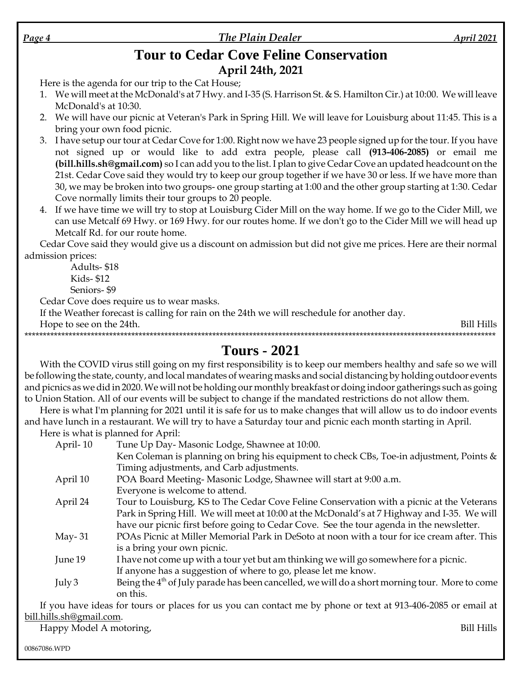#### The Plain Dealer

#### **Tour to Cedar Cove Feline Conservation** April 24th, 2021

Here is the agenda for our trip to the Cat House;

- 1. We will meet at the McDonald's at 7 Hwy. and I-35 (S. Harrison St. & S. Hamilton Cir.) at 10:00. We will leave McDonald's at 10:30.
- 2. We will have our picnic at Veteran's Park in Spring Hill. We will leave for Louisburg about 11:45. This is a bring your own food picnic.
- 3. I have setup our tour at Cedar Cove for 1:00. Right now we have 23 people signed up for the tour. If you have not signed up or would like to add extra people, please call (913-406-2085) or email me (bill.hills.sh@gmail.com) so I can add you to the list. I plan to give Cedar Cove an updated headcount on the 21st. Cedar Cove said they would try to keep our group together if we have 30 or less. If we have more than 30, we may be broken into two groups- one group starting at 1:00 and the other group starting at 1:30. Cedar Cove normally limits their tour groups to 20 people.
- 4. If we have time we will try to stop at Louisburg Cider Mill on the way home. If we go to the Cider Mill, we can use Metcalf 69 Hwy. or 169 Hwy. for our routes home. If we don't go to the Cider Mill we will head up Metcalf Rd. for our route home.

Cedar Cove said they would give us a discount on admission but did not give me prices. Here are their normal admission prices:

Adults-\$18 **Kids-\$12** Seniors-\$9

Cedar Cove does require us to wear masks.

If the Weather forecast is calling for rain on the 24th we will reschedule for another day.

Hope to see on the 24th.

Bill Hills 

#### **Tours - 2021**

With the COVID virus still going on my first responsibility is to keep our members healthy and safe so we will be following the state, county, and local mandates of wearing masks and social distancing by holding outdoor events and picnics as we did in 2020. We will not be holding our monthly breakfast or doing indoor gatherings such as going to Union Station. All of our events will be subject to change if the mandated restrictions do not allow them.

Here is what I'm planning for 2021 until it is safe for us to make changes that will allow us to do indoor events and have lunch in a restaurant. We will try to have a Saturday tour and picnic each month starting in April.

Here is what is planned for April: Tune Up Day-Masonic Lodge, Shawnee at 10:00. April-10 Ken Coleman is planning on bring his equipment to check CBs, Toe-in adjustment, Points  $\&$ Timing adjustments, and Carb adjustments. POA Board Meeting-Masonic Lodge, Shawnee will start at 9:00 a.m. April 10 Everyone is welcome to attend. April 24 Tour to Louisburg, KS to The Cedar Cove Feline Conservation with a picnic at the Veterans Park in Spring Hill. We will meet at 10:00 at the McDonald's at 7 Highway and I-35. We will have our picnic first before going to Cedar Cove. See the tour agenda in the newsletter. POAs Picnic at Miller Memorial Park in DeSoto at noon with a tour for ice cream after. This May- $31$ is a bring your own picnic. June 19 I have not come up with a tour yet but am thinking we will go somewhere for a picnic. If anyone has a suggestion of where to go, please let me know. Being the 4<sup>th</sup> of July parade has been cancelled, we will do a short morning tour. More to come July  $3$ on this

If you have ideas for tours or places for us you can contact me by phone or text at 913-406-2085 or email at bill.hills.sh@gmail.com.

Happy Model A motoring,

00867086.WPD

**Bill Hills**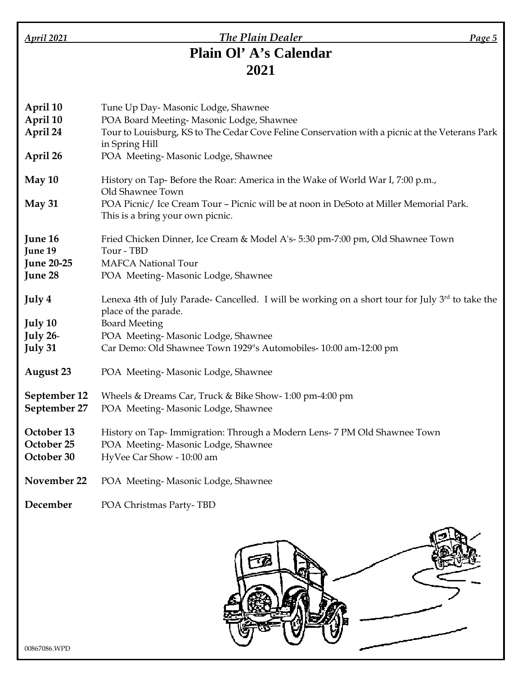#### *April 2021 The Plain Dealer Page 5* **Plain Ol' A's Calendar 2021**

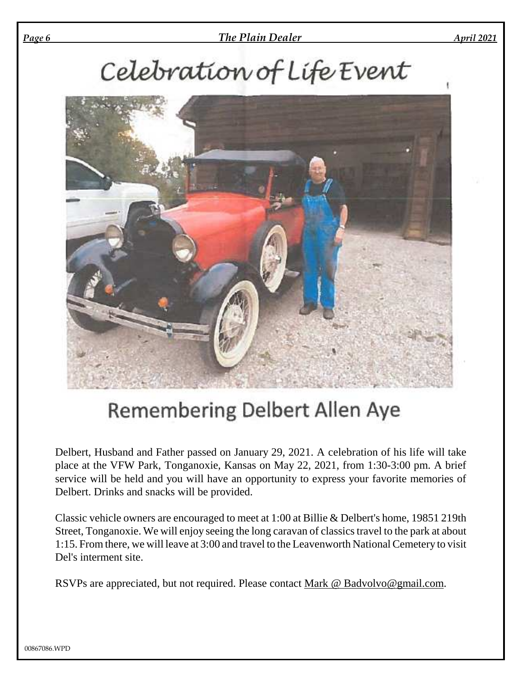#### *Page 6 The Plain Dealer April 2021*

# Celebration of Life Event



## Remembering Delbert Allen Aye

Delbert, Husband and Father passed on January 29, 2021. A celebration of his life will take place at the VFW Park, Tonganoxie, Kansas on May 22, 2021, from 1:30-3:00 pm. A brief service will be held and you will have an opportunity to express your favorite memories of Delbert. Drinks and snacks will be provided.

Classic vehicle owners are encouraged to meet at 1:00 at Billie & Delbert's home, 19851 219th Street, Tonganoxie. We will enjoy seeing the long caravan of classics travel to the park at about 1:15. From there, we will leave at 3:00 and travel to the Leavenworth National Cemetery to visit Del's interment site.

RSVPs are appreciated, but not required. Please contact Mark @ Badvolvo@gmail.com.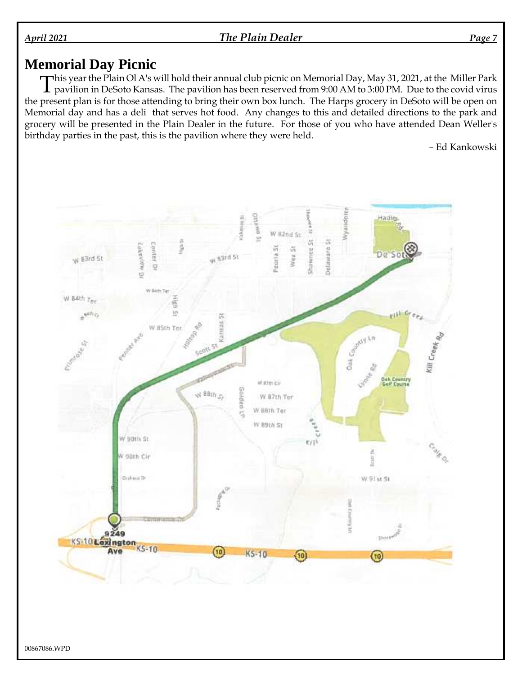*April 2021 The Plain Dealer Page 7*

#### **Memorial Day Picnic**

This year the Plain Ol A's will hold their annual club picnic on Memorial Day, May 31, 2021, at the Miller Park<br>The pavilion in DeSoto Kansas. The pavilion has been reserved from 9:00 AM to 3:00 PM. Due to the covid virus  $\perp$  pavilion in DeSoto Kansas. The pavilion has been reserved from 9:00 AM to 3:00 PM. Due to the covid virus the present plan is for those attending to bring their own box lunch. The Harps grocery in DeSoto will be open on Memorial day and has a deli that serves hot food. Any changes to this and detailed directions to the park and grocery will be presented in the Plain Dealer in the future. For those of you who have attended Dean Weller's birthday parties in the past, this is the pavilion where they were held.

– Ed Kankowski

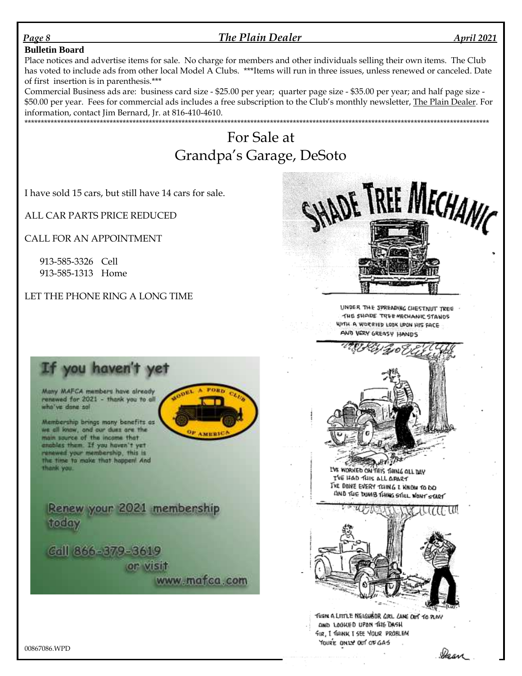#### *Page 8 The Plain Dealer April 2021*

#### **Bulletin Board**

Place notices and advertise items for sale. No charge for members and other individuals selling their own items. The Club has voted to include ads from other local Model A Clubs. \*\*\*Items will run in three issues, unless renewed or canceled. Date of first insertion is in parenthesis.\*\*\*

Commercial Business ads are: business card size - \$25.00 per year; quarter page size - \$35.00 per year; and half page size - \$50.00 per year. Fees for commercial ads includes a free subscription to the Club's monthly newsletter, The Plain Dealer. For information, contact Jim Bernard, Jr. at 816-410-4610. \*\*\*\*\*\*\*\*\*\*\*\*\*\*\*\*\*\*\*\*\*\*\*\*\*\*\*\*\*\*\*\*\*\*\*\*\*\*\*\*\*\*\*\*\*\*\*\*\*\*\*\*\*\*\*\*\*\*\*\*\*\*\*\*\*\*\*\*\*\*\*\*\*\*\*\*\*\*\*\*\*\*\*\*\*\*\*\*\*\*\*\*\*\*\*\*\*\*\*\*\*\*\*\*\*\*\*\*\*\*\*\*\*\*\*\*\*\*\*\*\*\*\*\*\*\*\*\*\*\*\*\*\*\*\*\*\*\*\*\*\*\*

### For Sale at Grandpa's Garage, DeSoto

I have sold 15 cars, but still have 14 cars for sale.

ALL CAR PARTS PRICE REDUCED

CALL FOR AN APPOINTMENT

913-585-3326 Cell 913-585-1313 Home

LET THE PHONE RING A LONG TIME



UNDER THE SPREADING CHESTNUT TREE THE SHADE TREE MECHANIC STANDS WITH A WORRIED LOOK UPON HIS FACE AND VERY GREASY HANDS



LVE WORKED ON THIS THING OLL DAY I'VE HAD THIS ALL APART THE DONE EVERY TOING I KNOW TO DO AND THE DUMB THING STILL WONT START



THEN A LITTLE NEIGHBOR GIRL CANE OUT TO PLAY AND LOOKED UPON THE DASH FIR, I THINK I SEE YOUR PROBLEM YOURE ONLY OUT OF GAS



Many MAFCA members have already renewed for 2021 - thank you to all who've done so!

Mambership brings many benefits as we all loww, and our dues are the main source of the income that enobles them. If you haven't yet renewed your membership, this is the time to make that happen! And thank you.

Renew your 2021 membership today

Call 866-379-3619 or visit www.mafca.com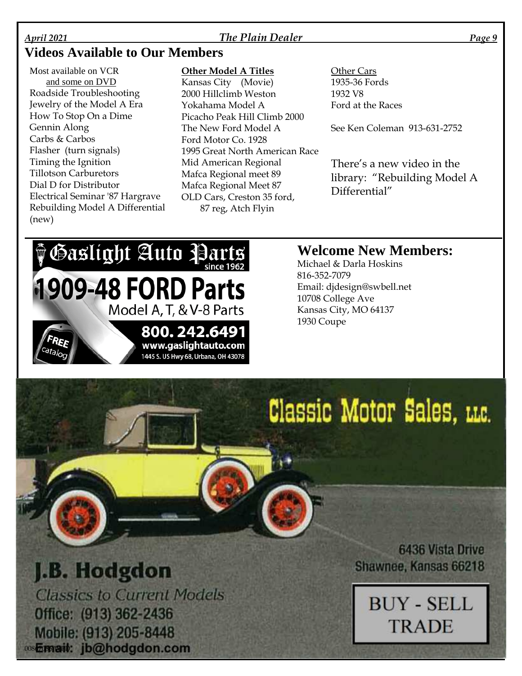#### *April 2021 The Plain Dealer Page 9*

#### **Videos Available to Our Members**

Most available on VCR and some on DVD Roadside Troubleshooting Jewelry of the Model A Era How To Stop On a Dime Gennin Along Carbs & Carbos Flasher (turn signals) Timing the Ignition Tillotson Carburetors Dial D for Distributor Electrical Seminar '87 Hargrave Rebuilding Model A Differential (new)

#### **Other Model A Titles**

Kansas City (Movie) 2000 Hillclimb Weston Yokahama Model A Picacho Peak Hill Climb 2000 The New Ford Model A Ford Motor Co. 1928 1995 Great North American Race Mid American Regional Mafca Regional meet 89 Mafca Regional Meet 87 OLD Cars, Creston 35 ford, 87 reg, Atch Flyin

Other Cars 1935-36 Fords 1932 V8 Ford at the Races

See Ken Coleman 913-631-2752

There's a new video in the library: "Rebuilding Model A Differential"

## **PGaslight Auto Parts 1909-48 FORD Parts** Model A, T, & V-8 Parts 800.242.6491 www.gaslightauto.com 1445 S. US Hwy 68, Urbana, OH 43078

#### **Welcome New Members:**

Michael & Darla Hoskins 816-352-7079 Email: djdesign@swbell.net 10708 College Ave Kansas City, MO 64137 1930 Coupe

# Classic Motor Sales, LLC.

## J.B. Hodgdon

**Classics to Current Models** Office: (913) 362-2436 Mobile: (913) 205-8448 0086208000b: jb@hodgdon.com

**6436 Vista Drive** Shawnee, Kansas 66218

**BUY - SELL** 

**TRADE** 

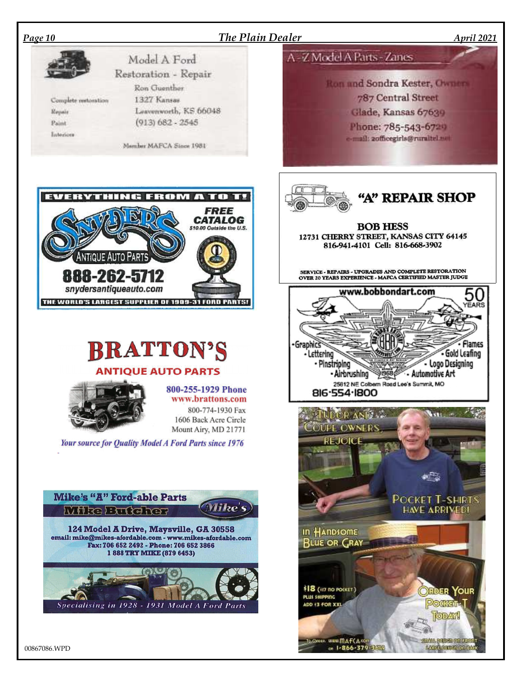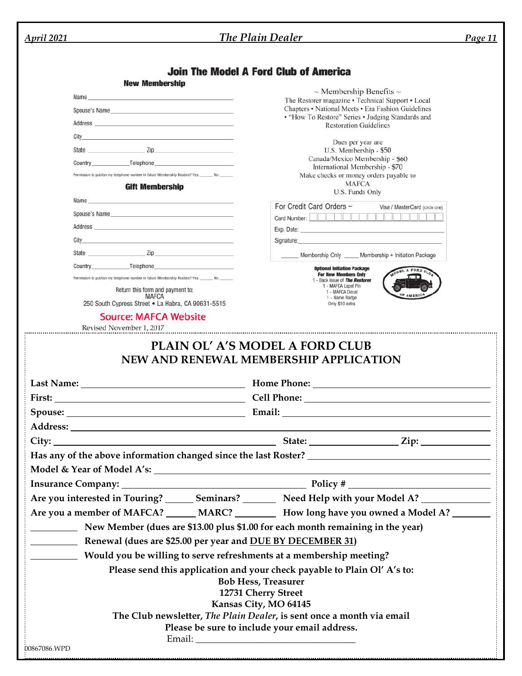| <b>April 2021</b>                                                                                                                                                                                                                    | The Plain Dealer                                                                                                                                                                                                               | <b>Page 11</b> |
|--------------------------------------------------------------------------------------------------------------------------------------------------------------------------------------------------------------------------------------|--------------------------------------------------------------------------------------------------------------------------------------------------------------------------------------------------------------------------------|----------------|
|                                                                                                                                                                                                                                      |                                                                                                                                                                                                                                |                |
|                                                                                                                                                                                                                                      | <b>Join The Model A Ford Club of America</b>                                                                                                                                                                                   |                |
| <b>New Membership</b>                                                                                                                                                                                                                | $\sim$ Membership Benefits $\sim$                                                                                                                                                                                              |                |
| Name and the contract of the contract of the contract of the contract of the contract of the contract of the contract of the contract of the contract of the contract of the contract of the contract of the contract of the c       | The Restorer magazine • Technical Support • Local                                                                                                                                                                              |                |
| Spouse's Name and the set of the set of the set of the set of the set of the set of the set of the set of the                                                                                                                        | Chapters • National Meets • Era Fashion Guidelines<br>• "How To Restore" Series • Judging Standards and                                                                                                                        |                |
|                                                                                                                                                                                                                                      | <b>Restoration Guidelines</b>                                                                                                                                                                                                  |                |
| City                                                                                                                                                                                                                                 | Dues per year are                                                                                                                                                                                                              |                |
| State <u>Zip Zip</u>                                                                                                                                                                                                                 | U.S. Membership - \$50<br>Canada/Mexico Membership - \$60                                                                                                                                                                      |                |
| Country Telephone                                                                                                                                                                                                                    | International Membership - \$70                                                                                                                                                                                                |                |
| Permission to publish my telephone number in future Membership Rosters? Yes: No: No:                                                                                                                                                 | Make checks or money orders payable to<br><b>MAFCA</b>                                                                                                                                                                         |                |
| <b>Gift Membership</b>                                                                                                                                                                                                               | U.S. Funds Only                                                                                                                                                                                                                |                |
| Name and the contract of the contract of the contract of the contract of the contract of the contract of the contract of the contract of the contract of the contract of the contract of the contract of the contract of the c       | For Credit Card Orders ~<br>Visa / MasterCard (circle one)                                                                                                                                                                     |                |
| Spouse's Name and the state of the state of the state of the state of the state of the state of the state of the state of the state of the state of the state of the state of the state of the state of the state of the state       | Card Number: New York Hall Property and Publishers and Publishers and Publishers and Publishers and Publishers                                                                                                                 |                |
| Address <b>contract and a series of the contract of the contract of the contract of the contract of the contract of the contract of the contract of the contract of the contract of the contract of the contract of the contract</b> | Exp. Date: the contract of the contract of the contract of the contract of the contract of the contract of the contract of the contract of the contract of the contract of the contract of the contract of the contract of the |                |
|                                                                                                                                                                                                                                      | Signature: experience and the state of the state of the state of the state of the state of the state of the state of the state of the state of the state of the state of the state of the state of the state of the state of t |                |
|                                                                                                                                                                                                                                      | Membership Only _____ Membership + Initiation Package                                                                                                                                                                          |                |
| Country Telephone Telephone                                                                                                                                                                                                          | <b>Optional Initiation Package</b><br>ODEL A FORD CLO<br><b>For New Members Only</b>                                                                                                                                           |                |
| Permission to publish my telephone number in future Membership Rosters? Yes: ______ No: ______                                                                                                                                       | 1 - Back issue of The Restorer<br>1 - MAFCA Lapel Pin                                                                                                                                                                          |                |
| Return this form and payment to:<br><b>MAFCA</b>                                                                                                                                                                                     | 1 - MAFCA Decal<br>OF AMERICA<br>1 - Name Badge                                                                                                                                                                                |                |
| 250 South Cypress Street . La Habra, CA 90631-5515                                                                                                                                                                                   | Only \$10 extra                                                                                                                                                                                                                |                |
| <b>Source: MAFCA Website</b><br>Revised November 1, 2017                                                                                                                                                                             |                                                                                                                                                                                                                                |                |
|                                                                                                                                                                                                                                      |                                                                                                                                                                                                                                |                |
|                                                                                                                                                                                                                                      |                                                                                                                                                                                                                                |                |
|                                                                                                                                                                                                                                      |                                                                                                                                                                                                                                |                |
|                                                                                                                                                                                                                                      |                                                                                                                                                                                                                                |                |
|                                                                                                                                                                                                                                      |                                                                                                                                                                                                                                |                |
|                                                                                                                                                                                                                                      |                                                                                                                                                                                                                                |                |
|                                                                                                                                                                                                                                      |                                                                                                                                                                                                                                |                |
|                                                                                                                                                                                                                                      |                                                                                                                                                                                                                                |                |
|                                                                                                                                                                                                                                      | Are you interested in Touring? _______ Seminars? _________ Need Help with your Model A? ____________                                                                                                                           |                |
|                                                                                                                                                                                                                                      | Are you a member of MAFCA? ______ MARC? __________ How long have you owned a Model A? ________                                                                                                                                 |                |
|                                                                                                                                                                                                                                      |                                                                                                                                                                                                                                |                |
|                                                                                                                                                                                                                                      | New Member (dues are \$13.00 plus \$1.00 for each month remaining in the year)                                                                                                                                                 |                |
| <b>EXAMPLE 12 Renewal (dues are \$25.00 per year and DUE BY DECEMBER 31)</b>                                                                                                                                                         |                                                                                                                                                                                                                                |                |
|                                                                                                                                                                                                                                      | Would you be willing to serve refreshments at a membership meeting?                                                                                                                                                            |                |
|                                                                                                                                                                                                                                      | Please send this application and your check payable to Plain Ol' A's to:                                                                                                                                                       |                |
|                                                                                                                                                                                                                                      | <b>Bob Hess, Treasurer</b>                                                                                                                                                                                                     |                |
|                                                                                                                                                                                                                                      | 12731 Cherry Street                                                                                                                                                                                                            |                |
|                                                                                                                                                                                                                                      | Kansas City, MO 64145<br>The Club newsletter, The Plain Dealer, is sent once a month via email                                                                                                                                 |                |
|                                                                                                                                                                                                                                      | Please be sure to include your email address.                                                                                                                                                                                  |                |
|                                                                                                                                                                                                                                      |                                                                                                                                                                                                                                |                |
| 00867086.WPD                                                                                                                                                                                                                         |                                                                                                                                                                                                                                |                |